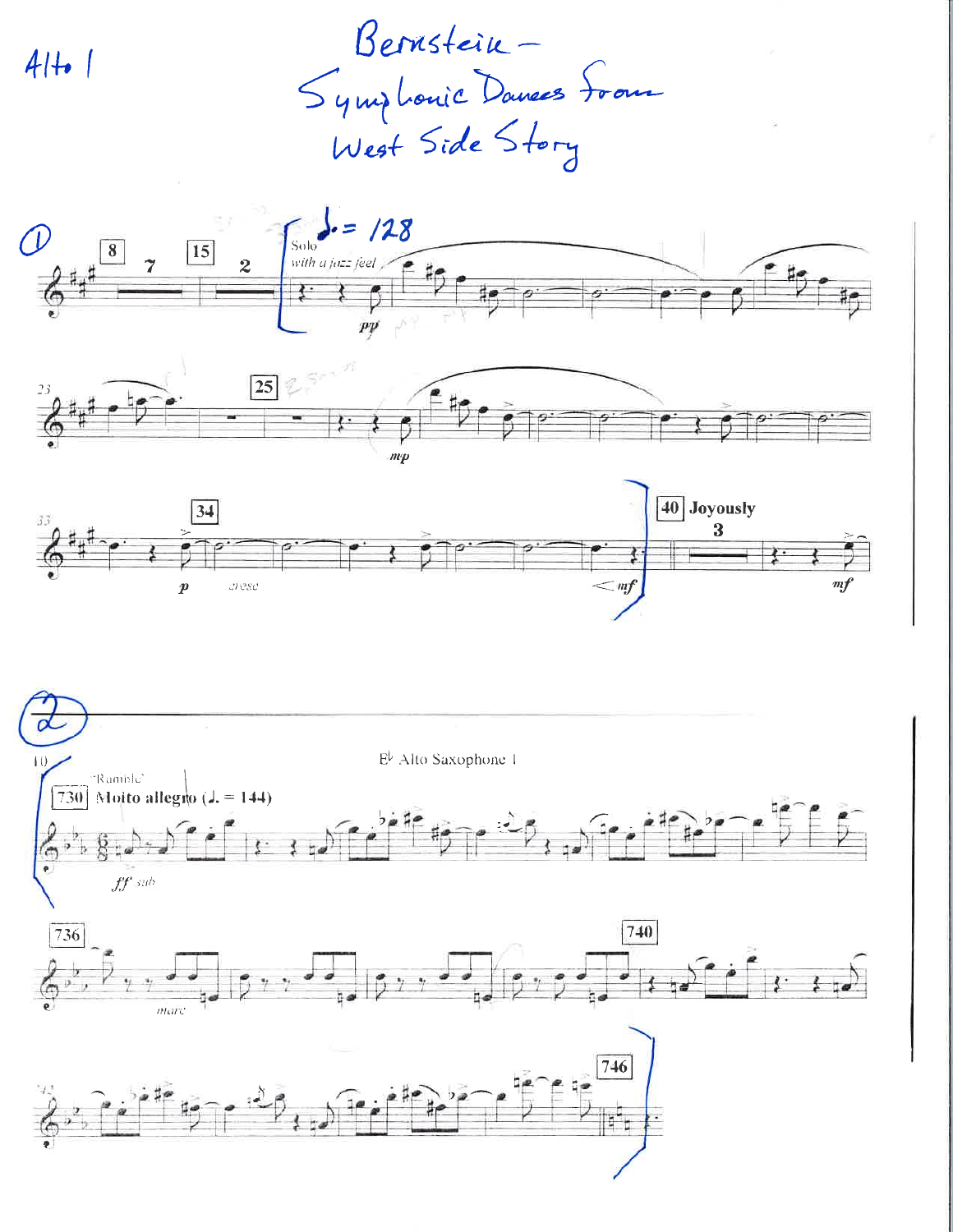$4|+$ 

Bernstein Symptonic Dances From







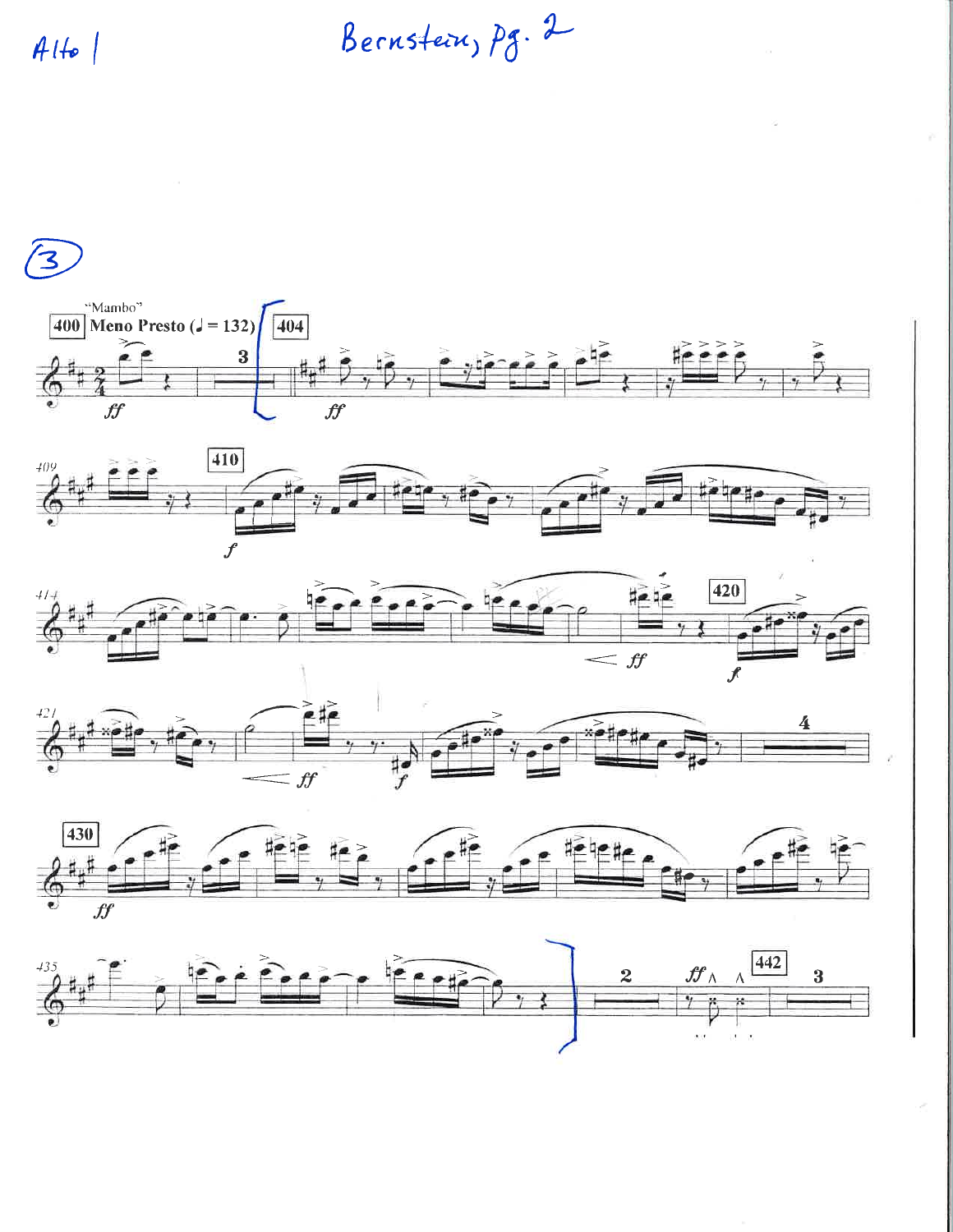$416$ 

Bernstein, pg. 2

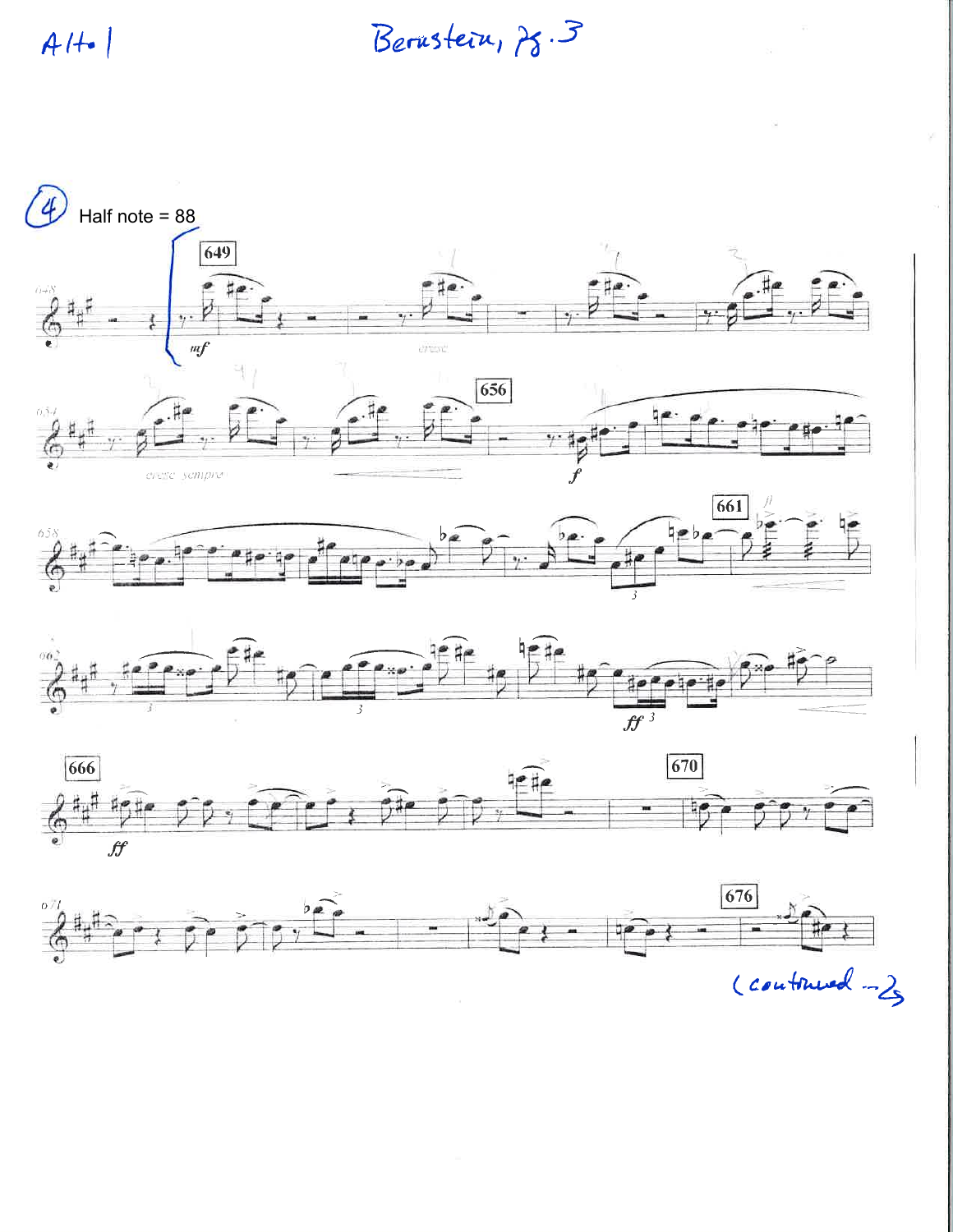$A/H$ 

Berustein, 78.3







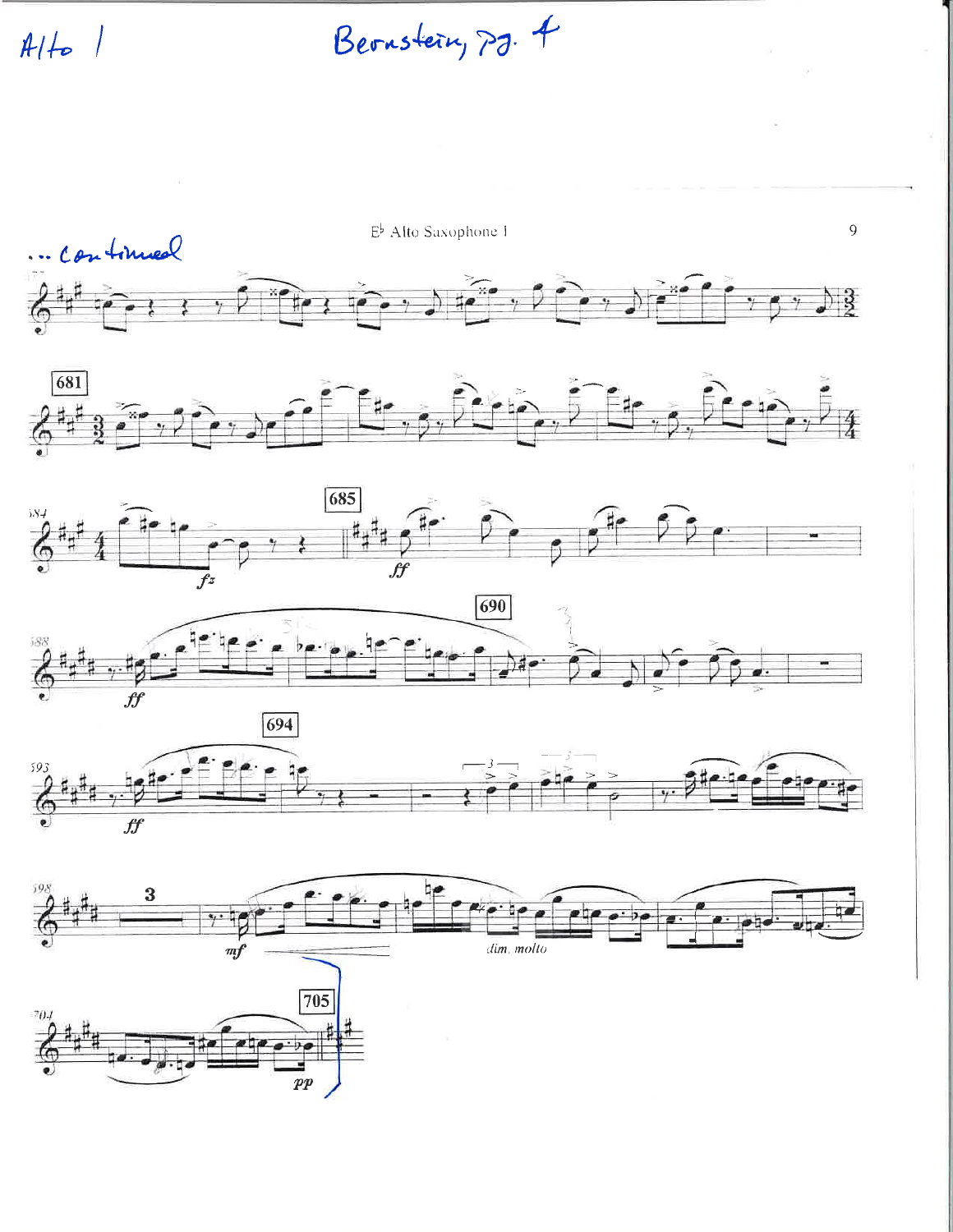$A/t$ 

Bernstein, 72. 4